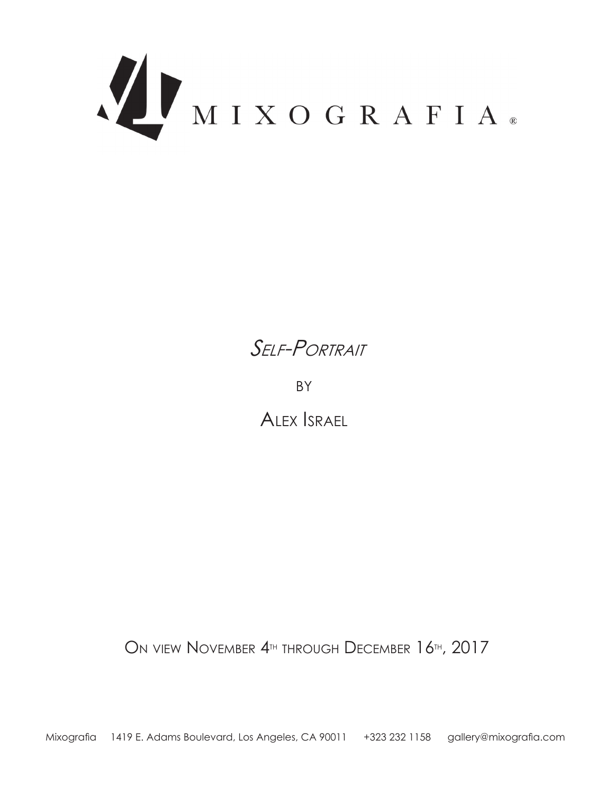



**BY** 

ALEX *ISRAEL* 

ON VIEW NOVEMBER 4<sup>TH</sup> THROUGH DECEMBER 16<sup>TH</sup>, 2017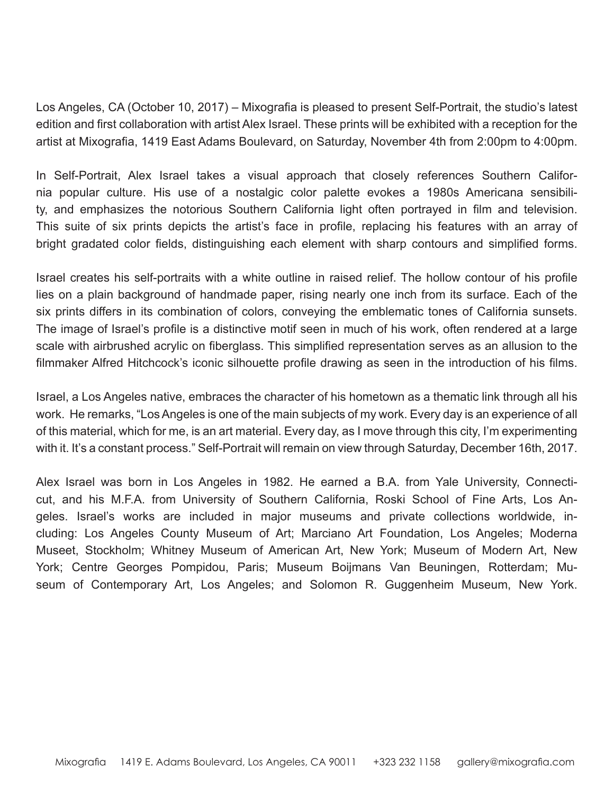Los Angeles, CA (October 10, 2017) – Mixografia is pleased to present Self-Portrait, the studio's latest edition and first collaboration with artist Alex Israel. These prints will be exhibited with a reception for the artist at Mixografia, 1419 East Adams Boulevard, on Saturday, November 4th from 2:00pm to 4:00pm.

ty, and emphasizes the notorious Southern California light often portrayed in film and television. nia popular culture. His use of a nostalgic color palette evokes a 1980s Americana sensibili-In Self-Portrait, Alex Israel takes a visual approach that closely references Southern Califor-This suite of six prints depicts the artist's face in profile, replacing his features with an array of bright gradated color fields, distinguishing each element with sharp contours and simplified forms.

Israel creates his self-portraits with a white outline in raised relief. The hollow contour of his profile lies on a plain background of handmade paper, rising nearly one inch from its surface. Each of the six prints differs in its combination of colors, conveying the emblematic tones of California sunsets. The image of Israel's profile is a distinctive motif seen in much of his work, often rendered at a large scale with airbrushed acrylic on fiberglass. This simplified representation serves as an allusion to the filmmaker Alfred Hitchcock's iconic silhouette profile drawing as seen in the introduction of his films.

Israel, a Los Angeles native, embraces the character of his hometown as a thematic link through all his work. He remarks, "Los Angeles is one of the main subjects of my work. Every day is an experience of all of this material, which for me, is an art material. Every day, as I move through this city, I'm experimenting with it. It's a constant process." Self-Portrait will remain on view through Saturday, December 16th, 2017.

cluding: Los Angeles County Museum of Art; Marciano Art Foundation, Los Angeles; Moderna geles. Israel's works are included in major museums and private collections worldwide, incut, and his M.F.A. from University of Southern California, Roski School of Fine Arts, Los An-Alex Israel was born in Los Angeles in 1982. He earned a B.A. from Yale University, Connecti-Museet, Stockholm; Whitney Museum of American Art, New York; Museum of Modern Art, New seum of Contemporary Art, Los Angeles; and Solomon R. Guggenheim Museum, New York. York; Centre Georges Pompidou, Paris; Museum Boijmans Van Beuningen, Rotterdam; Mu-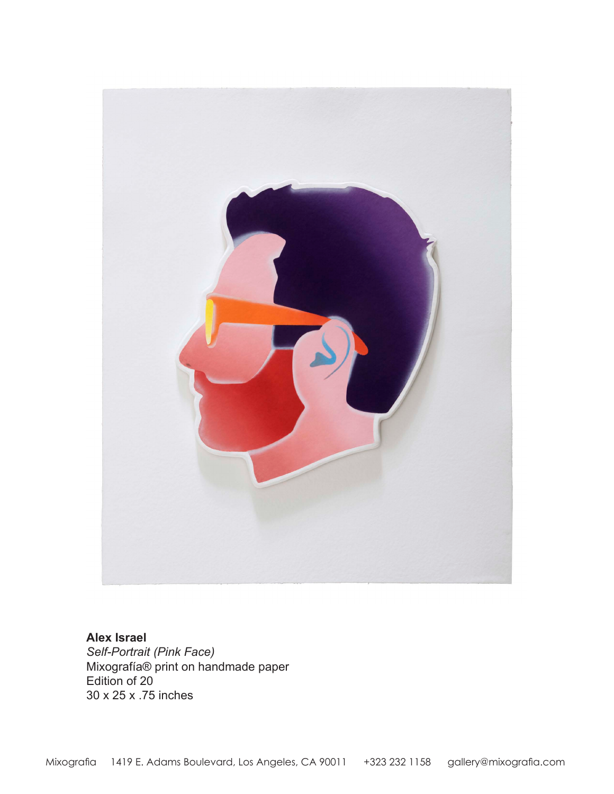

**Alex Israel** Self-Portrait (Pink Face) Mixografía® print on handmade paper Edition of  $20$ 30 x 25 x .75 inches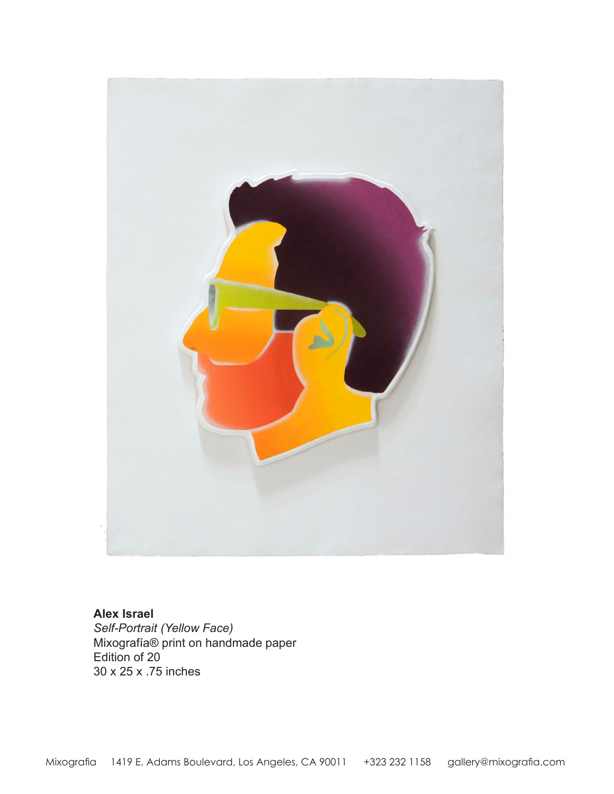

**Alex Israel** Self-Portrait (Yellow Face) Mixografía® print on handmade paper Edition of 20 30 x 25 x .75 inches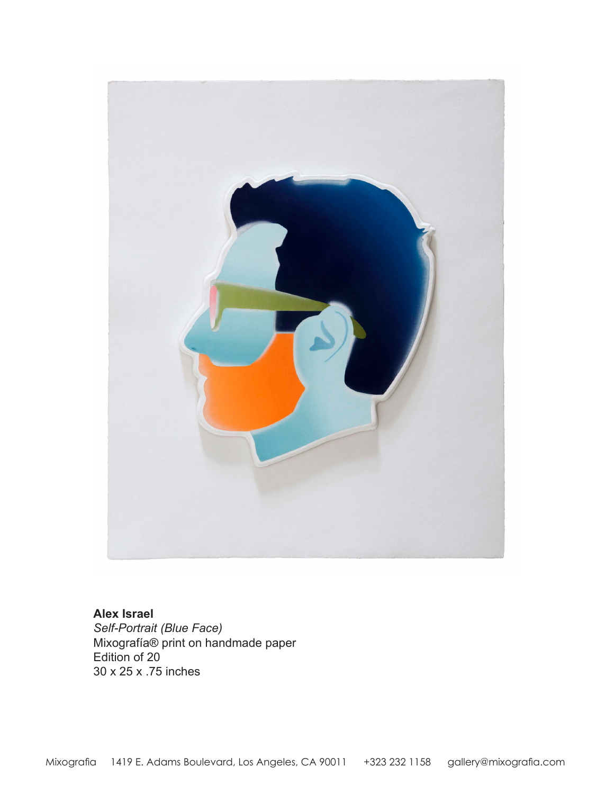

## **Alex Israel**

Self-Portrait (Blue Face) Mixografía® print on handmade paper Edition of 20 30 x 25 x .75 inches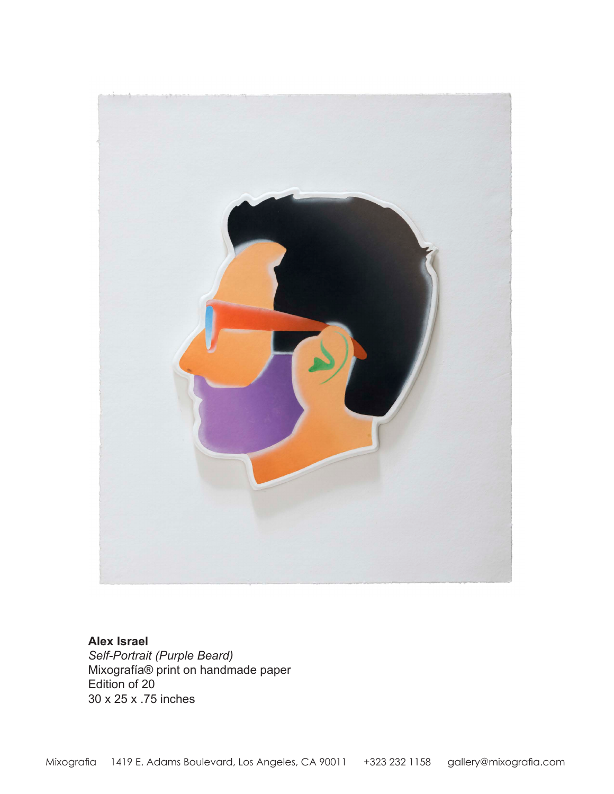

**Alex Israel** Self-Portrait (Purple Beard) Mixografía® print on handmade paper Edition of 20 30 x 25 x .75 inches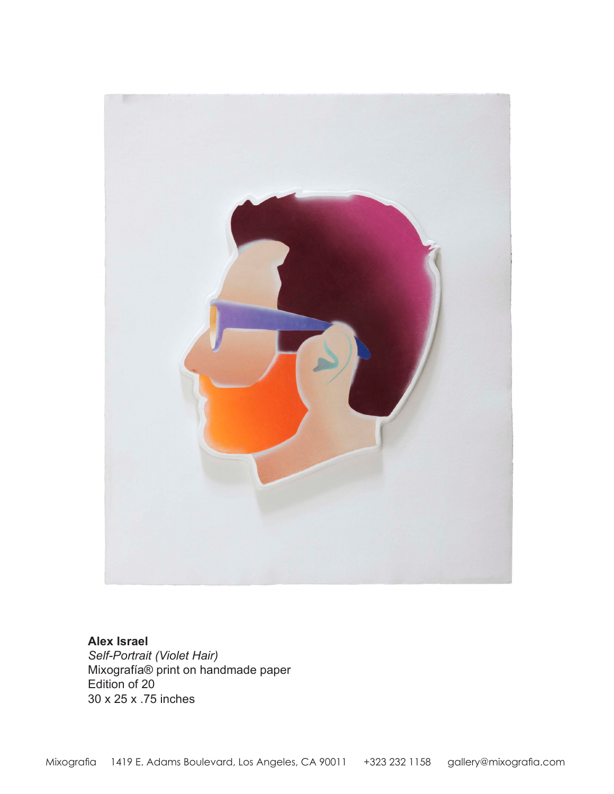

**Alex Israel Self-Portrait (Violet Hair)** Mixografía® print on handmade paper Edition of 20 30 x 25 x .75 inches